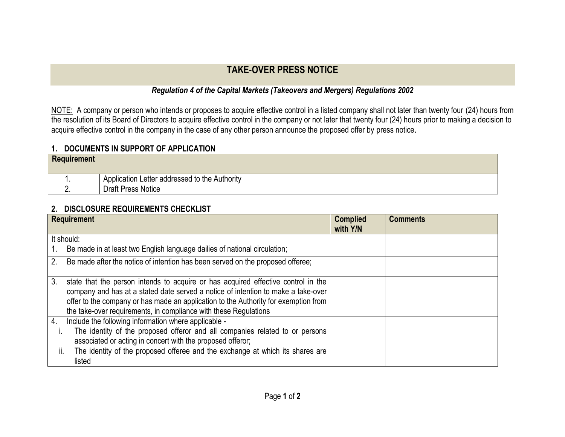## **TAKE-OVER PRESS NOTICE**

## *Regulation 4 of the Capital Markets (Takeovers and Mergers) Regulations 2002*

NOTE: A company or person who intends or proposes to acquire effective control in a listed company shall not later than twenty four (24) hours from the resolution of its Board of Directors to acquire effective control in the company or not later that twenty four (24) hours prior to making a decision to acquire effective control in the company in the case of any other person announce the proposed offer by press notice.

## **1. DOCUMENTS IN SUPPORT OF APPLICATION**

| <b>Requirement</b> |                                               |
|--------------------|-----------------------------------------------|
|                    | Application Letter addressed to the Authority |
|                    | <b>Draft Press Notice</b>                     |

## **2. DISCLOSURE REQUIREMENTS CHECKLIST**

| <b>Requirement</b> |                                                                                                                                                                                                                                                                                                                                   | <b>Complied</b><br>with Y/N | <b>Comments</b> |
|--------------------|-----------------------------------------------------------------------------------------------------------------------------------------------------------------------------------------------------------------------------------------------------------------------------------------------------------------------------------|-----------------------------|-----------------|
| It should:         |                                                                                                                                                                                                                                                                                                                                   |                             |                 |
|                    | Be made in at least two English language dailies of national circulation;                                                                                                                                                                                                                                                         |                             |                 |
| 2.                 | Be made after the notice of intention has been served on the proposed offeree;                                                                                                                                                                                                                                                    |                             |                 |
| 3.                 | state that the person intends to acquire or has acquired effective control in the<br>company and has at a stated date served a notice of intention to make a take-over<br>offer to the company or has made an application to the Authority for exemption from<br>the take-over requirements, in compliance with these Regulations |                             |                 |
| 4.                 | Include the following information where applicable -                                                                                                                                                                                                                                                                              |                             |                 |
|                    | The identity of the proposed offeror and all companies related to or persons                                                                                                                                                                                                                                                      |                             |                 |
|                    | associated or acting in concert with the proposed offeror;                                                                                                                                                                                                                                                                        |                             |                 |
| ii.                | The identity of the proposed offeree and the exchange at which its shares are                                                                                                                                                                                                                                                     |                             |                 |
|                    | listed                                                                                                                                                                                                                                                                                                                            |                             |                 |